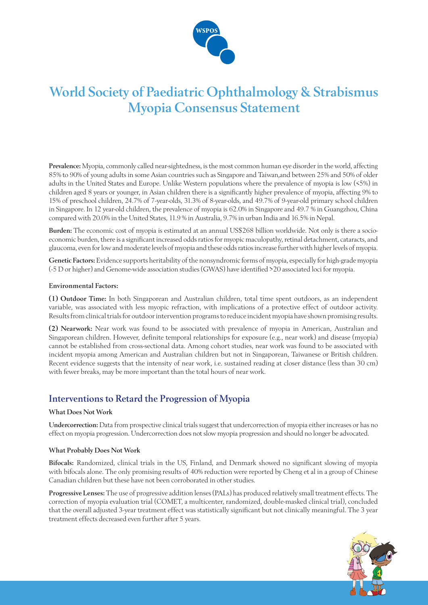

# **World Society of Paediatric Ophthalmology & Strabismus Myopia Consensus Statement**

**Prevalence:** Myopia, commonly called near-sightedness, is the most common human eye disorder in the world, affecting 85% to 90% of young adults in some Asian countries such as Singapore and Taiwan,and between 25% and 50% of older adults in the United States and Europe. Unlike Western populations where the prevalence of myopia is low (<5%) in children aged 8 years or younger, in Asian children there is a significantly higher prevalence of myopia, affecting 9% to 15% of preschool children, 24.7% of 7-year-olds, 31.3% of 8-year-olds, and 49.7% of 9-year-old primary school children in Singapore. In 12 year-old children, the prevalence of myopia is 62.0% in Singapore and 49.7 % in Guangzhou, China compared with 20.0% in the United States, 11.9 % in Australia, 9.7% in urban India and 16.5% in Nepal.

**Burden:** The economic cost of myopia is estimated at an annual US\$268 billion worldwide. Not only is there a socioeconomic burden, there is a significant increased odds ratios for myopic maculopathy, retinal detachment, cataracts, and glaucoma, even for low and moderate levels of myopia and these odds ratios increase further with higher levels of myopia.

**Genetic Factors:** Evidence supports heritability of the nonsyndromic forms of myopia, especially for high-grade myopia (-5 D or higher) and Genome-wide association studies (GWAS) have identified >20 associated loci for myopia.

#### **Environmental Factors:**

**(1) Outdoor Time:** In both Singaporean and Australian children, total time spent outdoors, as an independent variable, was associated with less myopic refraction, with implications of a protective effect of outdoor activity. Results from clinical trials for outdoor intervention programs to reduce incident myopia have shown promising results.

**(2) Nearwork:** Near work was found to be associated with prevalence of myopia in American, Australian and Singaporean children. However, definite temporal relationships for exposure (e.g., near work) and disease (myopia) cannot be established from cross-sectional data. Among cohort studies, near work was found to be associated with incident myopia among American and Australian children but not in Singaporean, Taiwanese or British children. Recent evidence suggests that the intensity of near work, i.e. sustained reading at closer distance (less than 30 cm) with fewer breaks, may be more important than the total hours of near work.

### **Interventions to Retard the Progression of Myopia**

#### **What Does Not Work**

**Undercorrection:** Data from prospective clinical trials suggest that undercorrection of myopia either increases or has no effect on myopia progression. Undercorrection does not slow myopia progression and should no longer be advocated.

#### **What Probably Does Not Work**

**Bifocals:** Randomized, clinical trials in the US, Finland, and Denmark showed no significant slowing of myopia with bifocals alone. The only promising results of 40% reduction were reported by Cheng et al in a group of Chinese Canadian children but these have not been corroborated in other studies.

**Progressive Lenses:** The use of progressive addition lenses (PALs) has produced relatively small treatment effects. The correction of myopia evaluation trial (COMET, a multicenter, randomized, double-masked clinical trial), concluded that the overall adjusted 3-year treatment effect was statistically significant but not clinically meaningful. The 3 year treatment effects decreased even further after 5 years.

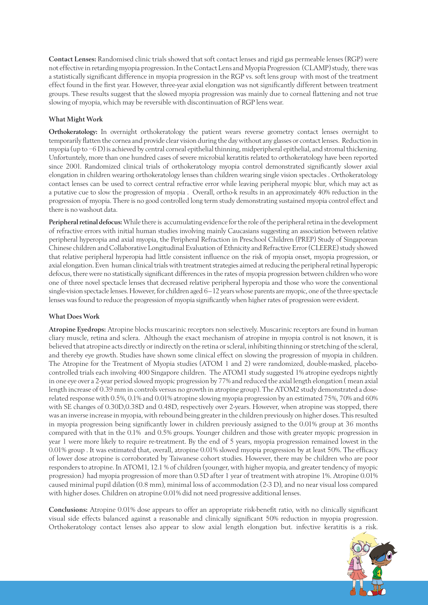**Contact Lenses:** Randomised clinic trials showed that soft contact lenses and rigid gas permeable lenses (RGP) were not effective in retarding myopia progression. In the Contact Lens and Myopia Progression (CLAMP) study, there was a statistically significant difference in myopia progression in the RGP vs. soft lens group with most of the treatment effect found in the first year. However, three-year axial elongation was not significantly different between treatment groups. These results suggest that the slowed myopia progression was mainly due to corneal flattening and not true slowing of myopia, which may be reversible with discontinuation of RGP lens wear.

#### **What Might Work**

**Orthokeratology:** In overnight orthokeratology the patient wears reverse geometry contact lenses overnight to temporarily flatten the cornea and provide clear vision during the day without any glasses or contact lenses. Reduction in myopia (up to −6 D) is achieved by central corneal epithelial thinning, midperipheral epithelial, and stromal thickening. Unfortuntely, more than one hundred cases of severe microbial keratitis related to orthokeratology have been reported since 2001. Randomized clinical trials of orthokeratology myopia control demonstrated significantly slower axial elongation in children wearing orthokeratology lenses than children wearing single vision spectacles . Orthokeratology contact lenses can be used to correct central refractive error while leaving peripheral myopic blur, which may act as a putative cue to slow the progression of myopia . Overall, ortho-k results in an approximately 40% reduction in the progression of myopia. There is no good controlled long term study demonstrating sustained myopia control effect and there is no washout data.

**Peripheral retinal defocus:** While there is accumulating evidence for the role of the peripheral retina in the development of refractive errors with initial human studies involving mainly Caucasians suggesting an association between relative peripheral hyperopia and axial myopia, the Peripheral Refraction in Preschool Children (PREP) Study of Singaporean Chinese children and Collaborative Longitudinal Evaluation of Ethnicity and Refractive Error (CLEERE) study showed that relative peripheral hyperopia had little consistent influence on the risk of myopia onset, myopia progression, or axial elongation. Even human clinical trials with treatment strategies aimed at reducing the peripheral retinal hyperopic defocus, there were no statistically significant differences in the rates of myopia progression between children who wore one of three novel spectacle lenses that decreased relative peripheral hyperopia and those who wore the conventional single-vision spectacle lenses. However, for children aged 6–12 years whose parents are myopic, one of the three spectacle lenses was found to reduce the progression of myopia significantly when higher rates of progression were evident.

#### **What Does Work**

**Atropine Eyedrops:** Atropine blocks muscarinic receptors non selectively. Muscarinic receptors are found in human cliary muscle, retina and sclera. Although the exact mechanism of atropine in myopia control is not known, it is believed that atropine acts directly or indirectly on the retina or scleral, inhibiting thinning or stretching of the scleral, and thereby eye growth. Studies have shown some clinical effect on slowing the progression of myopia in children. The Atropine for the Treatment of Myopia studies (ATOM 1 and 2) were randomized, double-masked, placebocontrolled trials each involving 400 Singapore children. The ATOM1 study suggested 1% atropine eyedrops nightly in one eye over a 2-year period slowed myopic progression by 77% and reduced the axial length elongation ( mean axial length increase of 0.39 mm in controls versus no growth in atropine group). The ATOM2 study demonstrated a doserelated response with 0.5%, 0.1% and 0.01% atropine slowing myopia progression by an estimated 75%, 70% and 60% with SE changes of 0.30D,0.38D and 0.48D, respectively over 2-years. However, when atropine was stopped, there was an inverse increase in myopia, with rebound being greater in the children previously on higher doses. This resulted in myopia progression being significantly lower in children previously assigned to the 0.01% group at 36 months compared with that in the 0.1% and 0.5% groups. Younger children and those with greater myopic progression in year 1 were more likely to require re-treatment. By the end of 5 years, myopia progression remained lowest in the 0.01% group . It was estimated that, overall, atropine 0.01% slowed myopia progression by at least 50%. The efficacy of lower dose atropine is corroborated by Taiwanese cohort studies. However, there may be children who are poor responders to atropine. In ATOM1, 12.1 % of children (younger, with higher myopia, and greater tendency of myopic progression) had myopia progression of more than 0.5D after 1 year of treatment with atropine 1%. Atropine 0.01% caused minimal pupil dilation (0.8 mm), minimal loss of accommodation (2-3 D), and no near visual loss compared with higher doses. Children on atropine 0.01% did not need progressive additional lenses.

**Conclusions:** Atropine 0.01% dose appears to offer an appropriate risk-benefit ratio, with no clinically significant visual side effects balanced against a reasonable and clinically significant 50% reduction in myopia progression. Orthokeratology contact lenses also appear to slow axial length elongation but. infective keratitis is a risk.